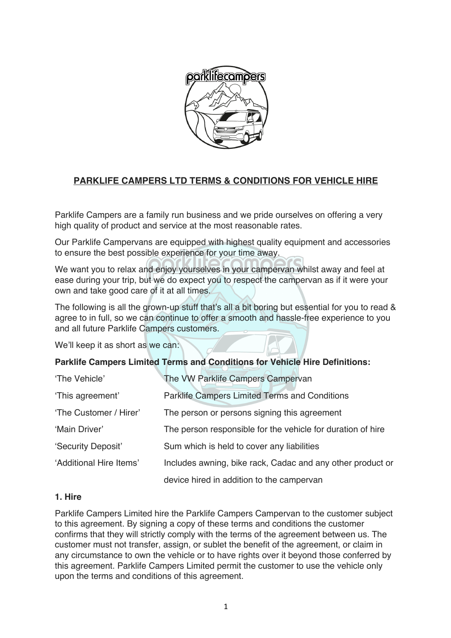

# **PARKLIFE CAMPERS LTD TERMS & CONDITIONS FOR VEHICLE HIRE**

Parklife Campers are a family run business and we pride ourselves on offering a very high quality of product and service at the most reasonable rates.

Our Parklife Campervans are equipped with highest quality equipment and accessories to ensure the best possible experience for your time away.

We want you to relax and enjoy yourselves in your campervan whilst away and feel at ease during your trip, but we do expect you to respect the campervan as if it were your own and take good care of it at all times.

The following is all the grown-up stuff that's all a bit boring but essential for you to read & agree to in full, so we can continue to offer a smooth and hassle-free experience to you and all future Parklife Campers customers.

We'll keep it as short as we can:

### **Parklife Campers Limited Terms and Conditions for Vehicle Hire Definitions:**

| 'The Vehicle'           | The VW Parklife Campers Campervan                           |
|-------------------------|-------------------------------------------------------------|
| 'This agreement'        | <b>Parklife Campers Limited Terms and Conditions</b>        |
| 'The Customer / Hirer'  | The person or persons signing this agreement                |
| 'Main Driver'           | The person responsible for the vehicle for duration of hire |
| 'Security Deposit'      | Sum which is held to cover any liabilities                  |
| 'Additional Hire Items' | Includes awning, bike rack, Cadac and any other product or  |
|                         | device hired in addition to the campervan                   |

#### **1. Hire**

Parklife Campers Limited hire the Parklife Campers Campervan to the customer subject to this agreement. By signing a copy of these terms and conditions the customer confirms that they will strictly comply with the terms of the agreement between us. The customer must not transfer, assign, or sublet the benefit of the agreement, or claim in any circumstance to own the vehicle or to have rights over it beyond those conferred by this agreement. Parklife Campers Limited permit the customer to use the vehicle only upon the terms and conditions of this agreement.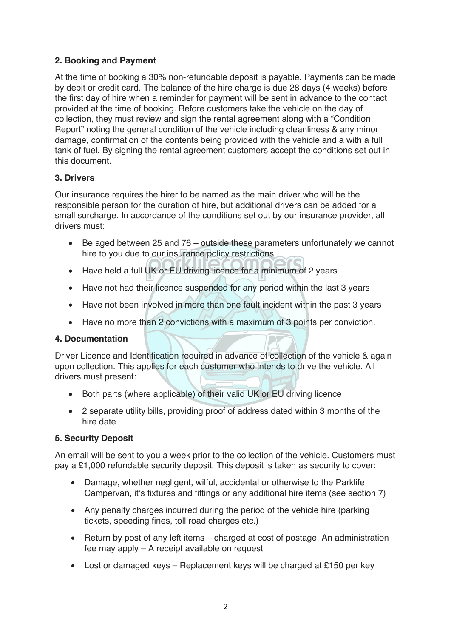# **2. Booking and Payment**

At the time of booking a 30% non-refundable deposit is payable. Payments can be made by debit or credit card. The balance of the hire charge is due 28 days (4 weeks) before the first day of hire when a reminder for payment will be sent in advance to the contact provided at the time of booking. Before customers take the vehicle on the day of collection, they must review and sign the rental agreement along with a "Condition Report" noting the general condition of the vehicle including cleanliness & any minor damage, confirmation of the contents being provided with the vehicle and a with a full tank of fuel. By signing the rental agreement customers accept the conditions set out in this document.

### **3. Drivers**

Our insurance requires the hirer to be named as the main driver who will be the responsible person for the duration of hire, but additional drivers can be added for a small surcharge. In accordance of the conditions set out by our insurance provider, all drivers must:

- Be aged between 25 and 76 outside these parameters unfortunately we cannot hire to you due to our insurance policy restrictions
- Have held a full UK or EU driving licence for a minimum of 2 years
- Have not had their licence suspended for any period within the last 3 years
- Have not been involved in more than one fault incident within the past 3 years
- Have no more than 2 convictions with a maximum of 3 points per conviction.

### **4. Documentation**

Driver Licence and Identification required in advance of collection of the vehicle & again upon collection. This applies for each customer who intends to drive the vehicle. All drivers must present:

- Both parts (where applicable) of their valid UK or EU driving licence
- 2 separate utility bills, providing proof of address dated within 3 months of the hire date

### **5. Security Deposit**

An email will be sent to you a week prior to the collection of the vehicle. Customers must pay a £1,000 refundable security deposit. This deposit is taken as security to cover:

- Damage, whether negligent, wilful, accidental or otherwise to the Parklife Campervan, it's fixtures and fittings or any additional hire items (see section 7)
- Any penalty charges incurred during the period of the vehicle hire (parking tickets, speeding fines, toll road charges etc.)
- Return by post of any left items charged at cost of postage. An administration fee may apply – A receipt available on request
- Lost or damaged keys Replacement keys will be charged at £150 per key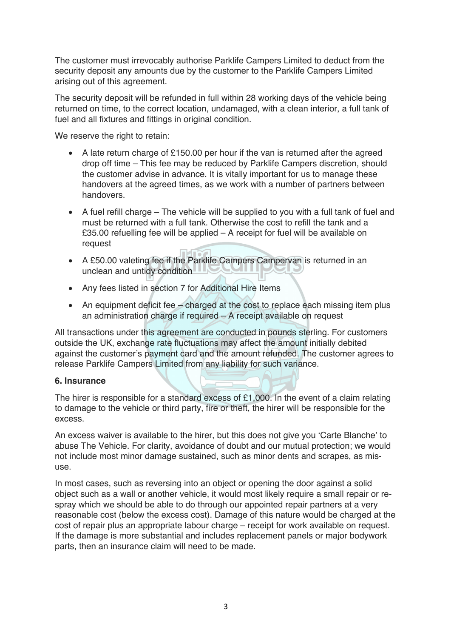The customer must irrevocably authorise Parklife Campers Limited to deduct from the security deposit any amounts due by the customer to the Parklife Campers Limited arising out of this agreement.

The security deposit will be refunded in full within 28 working days of the vehicle being returned on time, to the correct location, undamaged, with a clean interior, a full tank of fuel and all fixtures and fittings in original condition.

We reserve the right to retain:

- A late return charge of £150.00 per hour if the van is returned after the agreed drop off time – This fee may be reduced by Parklife Campers discretion, should the customer advise in advance. It is vitally important for us to manage these handovers at the agreed times, as we work with a number of partners between handovers.
- $\bullet$  A fuel refill charge The vehicle will be supplied to you with a full tank of fuel and must be returned with a full tank. Otherwise the cost to refill the tank and a £35.00 refuelling fee will be applied – A receipt for fuel will be available on request
- A £50.00 valeting fee if the Parklife Campers Campervan is returned in an unclean and untidy condition
- Any fees listed in section 7 for Additional Hire Items
- An equipment deficit fee charged at the cost to replace each missing item plus an administration charge if required – A receipt available on request

All transactions under this agreement are conducted in pounds sterling. For customers outside the UK, exchange rate fluctuations may affect the amount initially debited against the customer's payment card and the amount refunded. The customer agrees to release Parklife Campers Limited from any liability for such variance.

### **6. Insurance**

The hirer is responsible for a standard excess of £1,000. In the event of a claim relating to damage to the vehicle or third party, fire or theft, the hirer will be responsible for the excess.

An excess waiver is available to the hirer, but this does not give you 'Carte Blanche' to abuse The Vehicle. For clarity, avoidance of doubt and our mutual protection; we would not include most minor damage sustained, such as minor dents and scrapes, as misuse.

In most cases, such as reversing into an object or opening the door against a solid object such as a wall or another vehicle, it would most likely require a small repair or respray which we should be able to do through our appointed repair partners at a very reasonable cost (below the excess cost). Damage of this nature would be charged at the cost of repair plus an appropriate labour charge – receipt for work available on request. If the damage is more substantial and includes replacement panels or major bodywork parts, then an insurance claim will need to be made.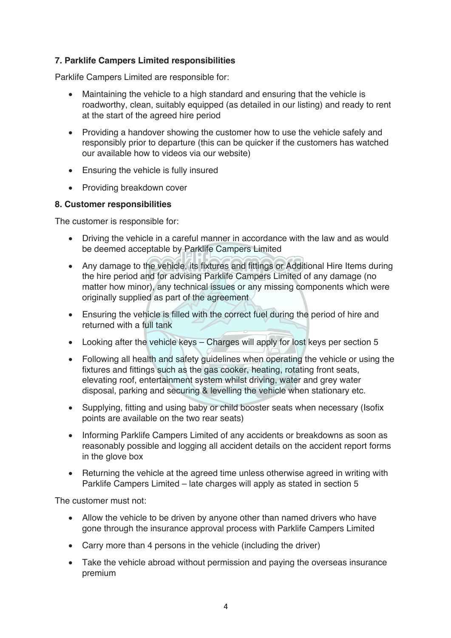# **7. Parklife Campers Limited responsibilities**

Parklife Campers Limited are responsible for:

- Maintaining the vehicle to a high standard and ensuring that the vehicle is roadworthy, clean, suitably equipped (as detailed in our listing) and ready to rent at the start of the agreed hire period
- Providing a handover showing the customer how to use the vehicle safely and responsibly prior to departure (this can be quicker if the customers has watched our available how to videos via our website)
- Ensuring the vehicle is fully insured
- Providing breakdown cover

### **8. Customer responsibilities**

The customer is responsible for:

- Driving the vehicle in a careful manner in accordance with the law and as would be deemed acceptable by Parklife Campers Limited
- Any damage to the vehicle, its fixtures and fittings or Additional Hire Items during the hire period and for advising Parklife Campers Limited of any damage (no matter how minor), any technical issues or any missing components which were originally supplied as part of the agreement
- Ensuring the vehicle is filled with the correct fuel during the period of hire and returned with a full tank
- Looking after the vehicle keys Charges will apply for lost keys per section 5
- Following all health and safety guidelines when operating the vehicle or using the fixtures and fittings such as the gas cooker, heating, rotating front seats, elevating roof, entertainment system whilst driving, water and grey water disposal, parking and securing & levelling the vehicle when stationary etc.
- Supplying, fitting and using baby or child booster seats when necessary (Isofix points are available on the two rear seats)
- Informing Parklife Campers Limited of any accidents or breakdowns as soon as reasonably possible and logging all accident details on the accident report forms in the glove box
- Returning the vehicle at the agreed time unless otherwise agreed in writing with Parklife Campers Limited – late charges will apply as stated in section 5

The customer must not:

- Allow the vehicle to be driven by anyone other than named drivers who have gone through the insurance approval process with Parklife Campers Limited
- Carry more than 4 persons in the vehicle (including the driver)
- Take the vehicle abroad without permission and paying the overseas insurance premium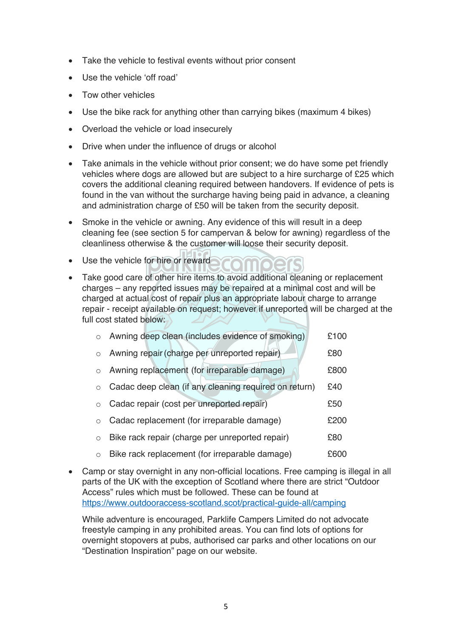- Take the vehicle to festival events without prior consent
- Use the vehicle 'off road'
- Tow other vehicles
- Use the bike rack for anything other than carrying bikes (maximum 4 bikes)
- Overload the vehicle or load insecurely
- Drive when under the influence of drugs or alcohol
- Take animals in the vehicle without prior consent; we do have some pet friendly vehicles where dogs are allowed but are subject to a hire surcharge of £25 which covers the additional cleaning required between handovers. If evidence of pets is found in the van without the surcharge having being paid in advance, a cleaning and administration charge of £50 will be taken from the security deposit.
- Smoke in the vehicle or awning. Any evidence of this will result in a deep cleaning fee (see section 5 for campervan & below for awning) regardless of the cleanliness otherwise & the customer will loose their security deposit.
- Use the vehicle for hire or reward
- Take good care of other hire items to avoid additional cleaning or replacement charges – any reported issues may be repaired at a minimal cost and will be charged at actual cost of repair plus an appropriate labour charge to arrange repair - receipt available on request; however if unreported will be charged at the full cost stated below:

| $\circ$    | Awning deep clean (includes evidence of smoking)      | £100 |
|------------|-------------------------------------------------------|------|
| $\circ$    | Awning repair (charge per unreported repair)          | £80  |
| $\circ$    | Awning replacement (for irreparable damage)           | £800 |
| $\circ$    | Cadac deep clean (if any cleaning required on return) | £40  |
| $\bigcirc$ | Cadac repair (cost per unreported repair)             |      |
| $\circ$    | Cadac replacement (for irreparable damage)            |      |
| $\circ$    | Bike rack repair (charge per unreported repair)       | £80  |
| $\circ$    | Bike rack replacement (for irreparable damage)        | £600 |

• Camp or stay overnight in any non-official locations. Free camping is illegal in all parts of the UK with the exception of Scotland where there are strict "Outdoor Access" rules which must be followed. These can be found at https://www.outdooraccess-scotland.scot/practical-guide-all/camping

While adventure is encouraged, Parklife Campers Limited do not advocate freestyle camping in any prohibited areas. You can find lots of options for overnight stopovers at pubs, authorised car parks and other locations on our "Destination Inspiration" page on our website.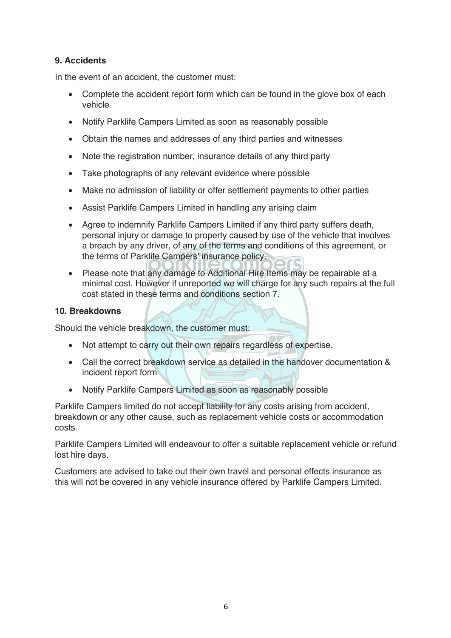# **9. Accidents**

In the event of an accident, the customer must:

- Complete the accident report form which can be found in the glove box of each vehicle
- Notify Parklife Campers Limited as soon as reasonably possible
- Obtain the names and addresses of any third parties and witnesses
- Note the registration number, insurance details of any third party
- Take photographs of any relevant evidence where possible
- Make no admission of liability or offer settlement payments to other parties
- Assist Parklife Campers Limited in handling any arising claim
- Agree to indemnify Parklife Campers Limited if any third party suffers death, personal injury or damage to property caused by use of the vehicle that involves a breach by any driver, of any of the terms and conditions of this agreement, or the terms of Parklife Campers' insurance policy.
- Please note that any damage to Additional Hire Items may be repairable at a minimal cost. However if unreported we will charge for any such repairs at the full cost stated in these terms and conditions section 7.

#### **10. Breakdowns**

Should the vehicle breakdown, the customer must:

- Not attempt to carry out their own repairs regardless of expertise.
- Call the correct breakdown service as detailed in the handover documentation & incident report form
- Notify Parklife Campers Limited as soon as reasonably possible

Parklife Campers limited do not accept liability for any costs arising from accident, breakdown or any other cause, such as replacement vehicle costs or accommodation costs.

Parklife Campers Limited will endeavour to offer a suitable replacement vehicle or refund lost hire days.

Customers are advised to take out their own travel and personal effects insurance as this will not be covered in any vehicle insurance offered by Parklife Campers Limited.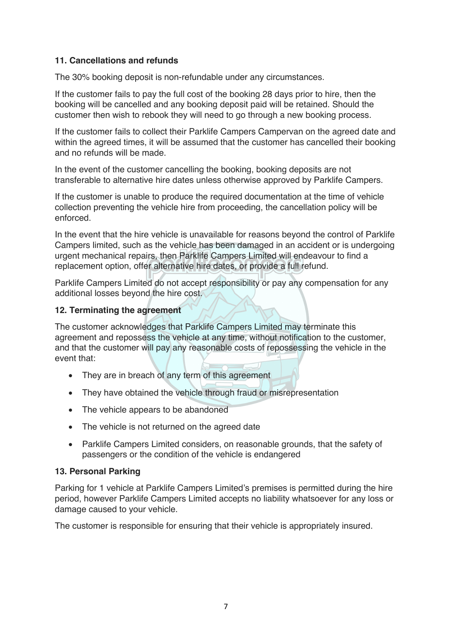## **11. Cancellations and refunds**

The 30% booking deposit is non-refundable under any circumstances.

If the customer fails to pay the full cost of the booking 28 days prior to hire, then the booking will be cancelled and any booking deposit paid will be retained. Should the customer then wish to rebook they will need to go through a new booking process.

If the customer fails to collect their Parklife Campers Campervan on the agreed date and within the agreed times, it will be assumed that the customer has cancelled their booking and no refunds will be made.

In the event of the customer cancelling the booking, booking deposits are not transferable to alternative hire dates unless otherwise approved by Parklife Campers.

If the customer is unable to produce the required documentation at the time of vehicle collection preventing the vehicle hire from proceeding, the cancellation policy will be enforced.

In the event that the hire vehicle is unavailable for reasons beyond the control of Parklife Campers limited, such as the vehicle has been damaged in an accident or is undergoing urgent mechanical repairs, then Parklife Campers Limited will endeavour to find a replacement option, offer alternative hire dates, or provide a full refund.

Parklife Campers Limited do not accept responsibility or pay any compensation for any additional losses beyond the hire cost.

### **12. Terminating the agreement**

The customer acknowledges that Parklife Campers Limited may terminate this agreement and repossess the vehicle at any time, without notification to the customer, and that the customer will pay any reasonable costs of repossessing the vehicle in the event that:

- They are in breach of any term of this agreement
- They have obtained the vehicle through fraud or misrepresentation
- The vehicle appears to be abandoned
- The vehicle is not returned on the agreed date
- Parklife Campers Limited considers, on reasonable grounds, that the safety of passengers or the condition of the vehicle is endangered

### **13. Personal Parking**

Parking for 1 vehicle at Parklife Campers Limited's premises is permitted during the hire period, however Parklife Campers Limited accepts no liability whatsoever for any loss or damage caused to your vehicle.

The customer is responsible for ensuring that their vehicle is appropriately insured.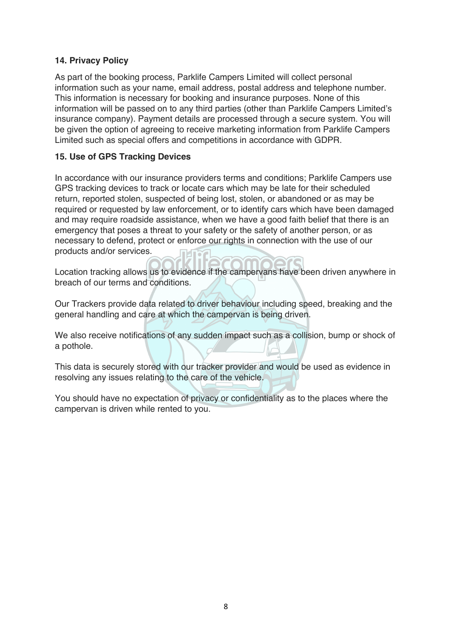### **14. Privacy Policy**

As part of the booking process, Parklife Campers Limited will collect personal information such as your name, email address, postal address and telephone number. This information is necessary for booking and insurance purposes. None of this information will be passed on to any third parties (other than Parklife Campers Limited's insurance company). Payment details are processed through a secure system. You will be given the option of agreeing to receive marketing information from Parklife Campers Limited such as special offers and competitions in accordance with GDPR.

### **15. Use of GPS Tracking Devices**

In accordance with our insurance providers terms and conditions; Parklife Campers use GPS tracking devices to track or locate cars which may be late for their scheduled return, reported stolen, suspected of being lost, stolen, or abandoned or as may be required or requested by law enforcement, or to identify cars which have been damaged and may require roadside assistance, when we have a good faith belief that there is an emergency that poses a threat to your safety or the safety of another person, or as necessary to defend, protect or enforce our rights in connection with the use of our products and/or services.

Location tracking allows us to evidence if the campervans have been driven anywhere in breach of our terms and conditions.

Our Trackers provide data related to driver behaviour including speed, breaking and the general handling and care at which the campervan is being driven.

We also receive notifications of any sudden impact such as a collision, bump or shock of a pothole.

This data is securely stored with our tracker provider and would be used as evidence in resolving any issues relating to the care of the vehicle.

You should have no expectation of privacy or confidentiality as to the places where the campervan is driven while rented to you.